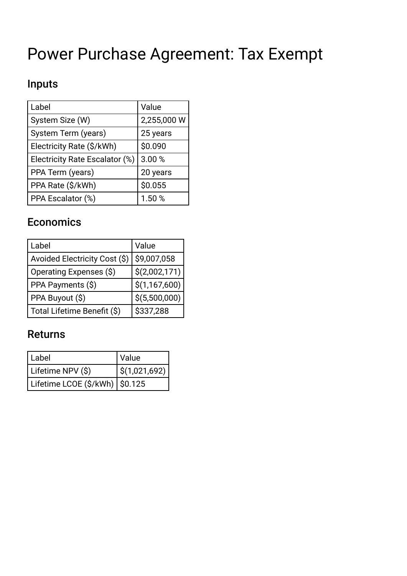# Power Purchase Agreement: Tax Exempt

## Inputs

| Label                          | Value       |
|--------------------------------|-------------|
| System Size (W)                | 2,255,000 W |
| System Term (years)            | 25 years    |
| Electricity Rate (\$/kWh)      | \$0.090     |
| Electricity Rate Escalator (%) | 3.00%       |
| PPA Term (years)               | 20 years    |
| PPA Rate (\$/kWh)              | \$0.055     |
| PPA Escalator (%)              | 1.50%       |

### **Economics**

| Label                         | Value         |
|-------------------------------|---------------|
| Avoided Electricity Cost (\$) | \$9,007,058   |
| Operating Expenses (\$)       | \$(2,002,171) |
| PPA Payments (\$)             | \$(1,167,600) |
| PPA Buyout (\$)               | \$(5,500,000) |
| Total Lifetime Benefit (\$)   | \$337,288     |

#### Returns

| Label                            | Value             |
|----------------------------------|-------------------|
| Lifetime NPV (\$)                | $ $ \$(1,021,692) |
| Lifetime LCOE (\$/kWh)   \$0.125 |                   |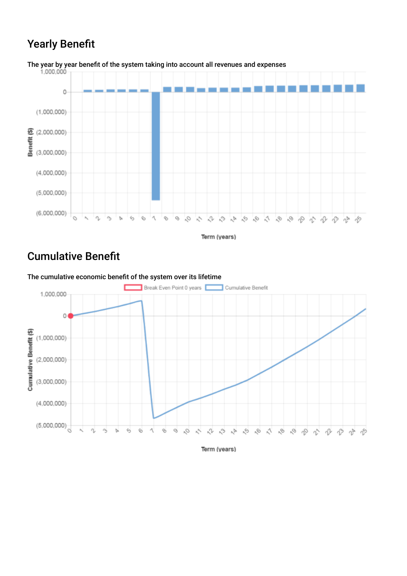### **Yearly Benefit**



The year by year benefit of the system taking into account all revenues and expenses<br>1.000.000

Term (years)

#### Cumulative Beneft



The cumulative economic beneft of the system over its lifetime

Term (years)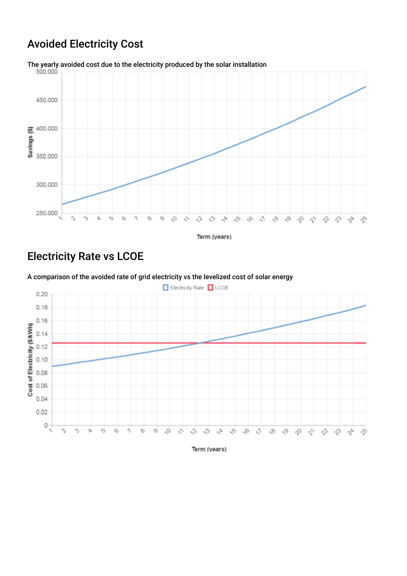### Avoided Electricity Cost



Term (years)

### Electricity Rate vs LCOE



A comparison of the avoided rate of grid electricity vs the levelized cost of solar energy

Term (years)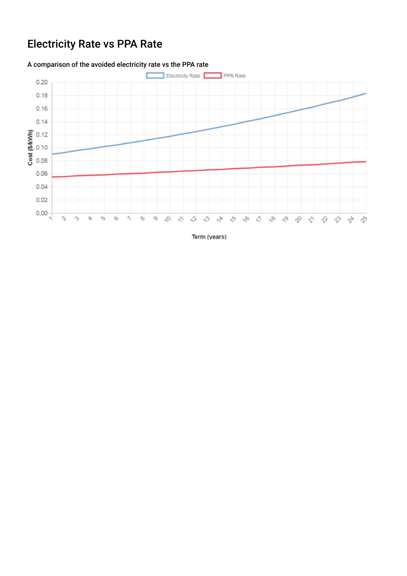## Electricity Rate vs PPA Rate

#### A comparison of the avoided electricity rate vs the PPA rate



Term (years)